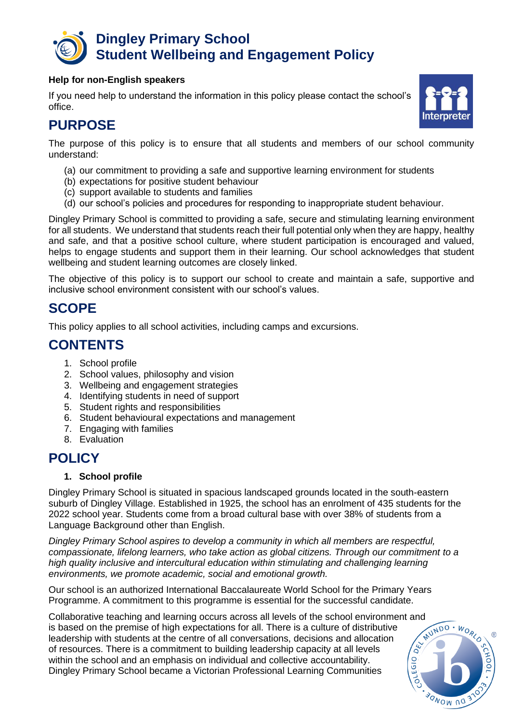

#### **Help for non-English speakers**

If you need help to understand the information in this policy please contact the school's office.



# **PURPOSE**

The purpose of this policy is to ensure that all students and members of our school community understand:

- (a) our commitment to providing a safe and supportive learning environment for students
- (b) expectations for positive student behaviour
- (c) support available to students and families
- (d) our school's policies and procedures for responding to inappropriate student behaviour.

Dingley Primary School is committed to providing a safe, secure and stimulating learning environment for all students. We understand that students reach their full potential only when they are happy, healthy and safe, and that a positive school culture, where student participation is encouraged and valued, helps to engage students and support them in their learning. Our school acknowledges that student wellbeing and student learning outcomes are closely linked.

The objective of this policy is to support our school to create and maintain a safe, supportive and inclusive school environment consistent with our school's values.

# **SCOPE**

This policy applies to all school activities, including camps and excursions.

# **CONTENTS**

- 1. School profile
- 2. School values, philosophy and vision
- 3. Wellbeing and engagement strategies
- 4. Identifying students in need of support
- 5. Student rights and responsibilities
- 6. Student behavioural expectations and management
- 7. Engaging with families
- 8. Evaluation

### **POLICY**

### **1. School profile**

Dingley Primary School is situated in spacious landscaped grounds located in the south-eastern suburb of Dingley Village. Established in 1925, the school has an enrolment of 435 students for the 2022 school year. Students come from a broad cultural base with over 38% of students from a Language Background other than English.

*Dingley Primary School aspires to develop a community in which all members are respectful, compassionate, lifelong learners, who take action as global citizens. Through our commitment to a high quality inclusive and intercultural education within stimulating and challenging learning environments, we promote academic, social and emotional growth.* 

Our school is an authorized International Baccalaureate World School for the Primary Years Programme. A commitment to this programme is essential for the successful candidate.

Collaborative teaching and learning occurs across all levels of the school environment and<br>is based on the premise of high expectations for all. There is a culture of distributive<br>leadership with students at the centre of is based on the premise of high expectations for all. There is a culture of distributive leadership with students at the centre of all conversations, decisions and allocation of resources. There is a commitment to building leadership capacity at all levels EGIO within the school and an emphasis on individual and collective accountability. Dingley Primary School became a Victorian Professional Learning Communities

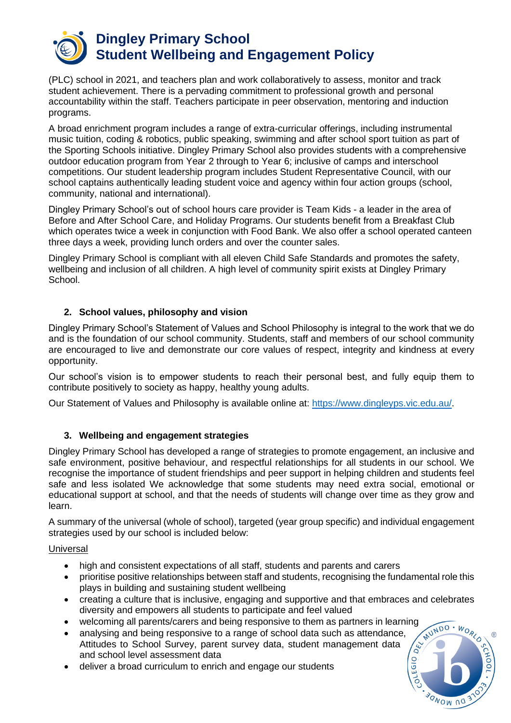

(PLC) school in 2021, and teachers plan and work collaboratively to assess, monitor and track student achievement. There is a pervading commitment to professional growth and personal accountability within the staff. Teachers participate in peer observation, mentoring and induction programs.

A broad enrichment program includes a range of extra-curricular offerings, including instrumental music tuition, coding & robotics, public speaking, swimming and after school sport tuition as part of the Sporting Schools initiative. Dingley Primary School also provides students with a comprehensive outdoor education program from Year 2 through to Year 6; inclusive of camps and interschool competitions. Our student leadership program includes Student Representative Council, with our school captains authentically leading student voice and agency within four action groups (school, community, national and international).

Dingley Primary School's out of school hours care provider is Team Kids - a leader in the area of Before and After School Care, and Holiday Programs. Our students benefit from a Breakfast Club which operates twice a week in coniunction with Food Bank. We also offer a school operated canteen three days a week, providing lunch orders and over the counter sales.

Dingley Primary School is compliant with all eleven Child Safe Standards and promotes the safety, wellbeing and inclusion of all children. A high level of community spirit exists at Dingley Primary School.

### **2. School values, philosophy and vision**

Dingley Primary School's Statement of Values and School Philosophy is integral to the work that we do and is the foundation of our school community. Students, staff and members of our school community are encouraged to live and demonstrate our core values of respect, integrity and kindness at every opportunity.

Our school's vision is to empower students to reach their personal best, and fully equip them to contribute positively to society as happy, healthy young adults.

Our Statement of Values and Philosophy is available online at: [https://www.dingleyps.vic.edu.au/.](https://www.dingleyps.vic.edu.au/)

### **3. Wellbeing and engagement strategies**

Dingley Primary School has developed a range of strategies to promote engagement, an inclusive and safe environment, positive behaviour, and respectful relationships for all students in our school. We recognise the importance of student friendships and peer support in helping children and students feel safe and less isolated We acknowledge that some students may need extra social, emotional or educational support at school, and that the needs of students will change over time as they grow and learn.

A summary of the universal (whole of school), targeted (year group specific) and individual engagement strategies used by our school is included below:

#### Universal

- high and consistent expectations of all staff, students and parents and carers
- prioritise positive relationships between staff and students, recognising the fundamental role this plays in building and sustaining student wellbeing
- creating a culture that is inclusive, engaging and supportive and that embraces and celebrates diversity and empowers all students to participate and feel valued
- welcoming all parents/carers and being responsive to them as partners in learning
- analysing and being responsive to a range of school data such as attendance, Attitudes to School Survey, parent survey data, student management data and school level assessment data
- deliver a broad curriculum to enrich and engage our students

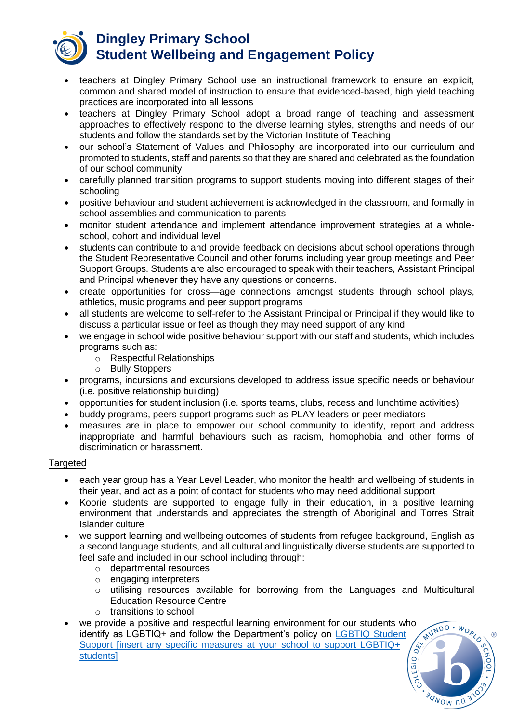

- teachers at Dingley Primary School use an instructional framework to ensure an explicit, common and shared model of instruction to ensure that evidenced-based, high yield teaching practices are incorporated into all lessons
- teachers at Dingley Primary School adopt a broad range of teaching and assessment approaches to effectively respond to the diverse learning styles, strengths and needs of our students and follow the standards set by the Victorian Institute of Teaching
- our school's Statement of Values and Philosophy are incorporated into our curriculum and promoted to students, staff and parents so that they are shared and celebrated as the foundation of our school community
- carefully planned transition programs to support students moving into different stages of their schooling
- positive behaviour and student achievement is acknowledged in the classroom, and formally in school assemblies and communication to parents
- monitor student attendance and implement attendance improvement strategies at a wholeschool, cohort and individual level
- students can contribute to and provide feedback on decisions about school operations through the Student Representative Council and other forums including year group meetings and Peer Support Groups. Students are also encouraged to speak with their teachers, Assistant Principal and Principal whenever they have any questions or concerns.
- create opportunities for cross—age connections amongst students through school plays, athletics, music programs and peer support programs
- all students are welcome to self-refer to the Assistant Principal or Principal if they would like to discuss a particular issue or feel as though they may need support of any kind.
- we engage in school wide positive behaviour support with our staff and students, which includes programs such as:
	- o Respectful Relationships
	- o Bully Stoppers
- programs, incursions and excursions developed to address issue specific needs or behaviour (i.e. positive relationship building)
- opportunities for student inclusion (i.e. sports teams, clubs, recess and lunchtime activities)
- buddy programs, peers support programs such as PLAY leaders or peer mediators
- measures are in place to empower our school community to identify, report and address inappropriate and harmful behaviours such as racism, homophobia and other forms of discrimination or harassment.

#### **Targeted**

- each year group has a Year Level Leader, who monitor the health and wellbeing of students in their year, and act as a point of contact for students who may need additional support
- Koorie students are supported to engage fully in their education, in a positive learning environment that understands and appreciates the strength of Aboriginal and Torres Strait Islander culture
- we support learning and wellbeing outcomes of students from refugee background, English as a second language students, and all cultural and linguistically diverse students are supported to feel safe and included in our school including through:
	- o departmental resources
	- o engaging interpreters
	- o utilising resources available for borrowing from the Languages and Multicultural Education Resource Centre
	- o transitions to school
- we provide a positive and respectful learning environment for our students who identify as LGBTIQ+ and follow the Department's policy on [LGBTIQ Student](https://www2.education.vic.gov.au/pal/lgbtiq-student-support/policy)   $\sqrt{\frac{2}{5}}$ Support linsert any specific measures at your school to support LGBTIQ+ [students\]](https://www2.education.vic.gov.au/pal/lgbtiq-student-support/policy)

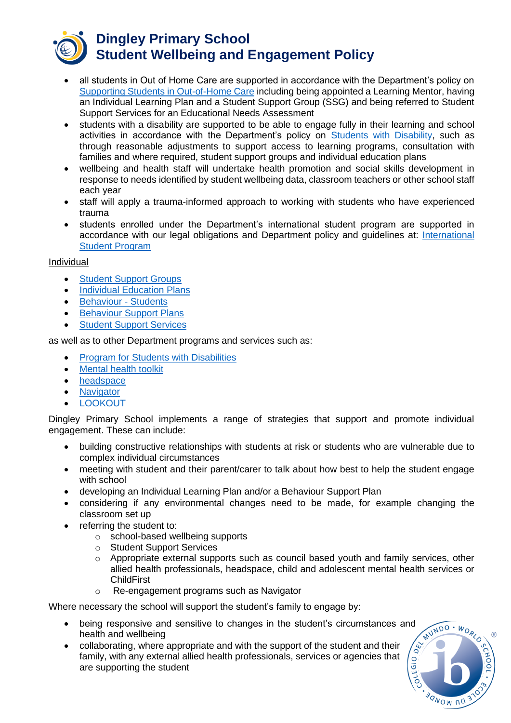

- all students in Out of Home Care are supported in accordance with the Department's policy on [Supporting Students in](https://www2.education.vic.gov.au/pal/supporting-students-out-home-care/policy) Out-of-Home Care including being appointed a Learning Mentor, having an Individual Learning Plan and a Student Support Group (SSG) and being referred to Student Support Services for an Educational Needs Assessment
- students with a disability are supported to be able to engage fully in their learning and school activities in accordance with the Department's policy on [Students with Disability,](https://www2.education.vic.gov.au/pal/students-disability/policy) such as through reasonable adjustments to support access to learning programs, consultation with families and where required, student support groups and individual education plans
- wellbeing and health staff will undertake health promotion and social skills development in response to needs identified by student wellbeing data, classroom teachers or other school staff each year
- staff will apply a trauma-informed approach to working with students who have experienced trauma
- students enrolled under the Department's international student program are supported in accordance with our legal obligations and Department policy and guidelines at: [International](https://www2.education.vic.gov.au/pal/international-student-program/guidance/supporting-students-learning-and-engagement-section-7)  [Student Program](https://www2.education.vic.gov.au/pal/international-student-program/guidance/supporting-students-learning-and-engagement-section-7)

### Individual

- [Student Support Groups](https://www2.education.vic.gov.au/pal/student-support-groups/policy)
- [Individual Education Plans](https://www2.education.vic.gov.au/pal/individual-education-plans-ieps/policy)
- [Behaviour -](https://www2.education.vic.gov.au/pal/behaviour-students/policy) Students
- [Behaviour Support Plans](https://www2.education.vic.gov.au/pal/behaviour-students/guidance/6-behaviour-support-plans)
- **[Student Support Services](https://www2.education.vic.gov.au/pal/student-support-services/policy)**

as well as to other Department programs and services such as:

- [Program for Students with Disabilities](https://www.education.vic.gov.au/school/teachers/learningneeds/Pages/psd.aspx)
- [Mental health toolkit](https://www.education.vic.gov.au/school/teachers/health/mentalhealth/Pages/mentalhealthtoolkit.aspx)
- [headspace](https://www.education.vic.gov.au/school/teachers/health/mentalhealth/Pages/headspace-counselling-secondary.aspx)
- [Navigator](https://www.education.vic.gov.au/school/teachers/behaviour/engagement/Pages/navigator.aspx)
- **[LOOKOUT](https://www.education.vic.gov.au/about/programs/Pages/lookout.aspx)**

Dingley Primary School implements a range of strategies that support and promote individual engagement. These can include:

- building constructive relationships with students at risk or students who are vulnerable due to complex individual circumstances
- meeting with student and their parent/carer to talk about how best to help the student engage with school
- developing an Individual Learning Plan and/or a Behaviour Support Plan
- considering if any environmental changes need to be made, for example changing the classroom set up
- referring the student to:
	- o school-based wellbeing supports
	- o Student Support Services
	- o Appropriate external supports such as council based youth and family services, other allied health professionals, headspace, child and adolescent mental health services or **ChildFirst**
	- o Re-engagement programs such as Navigator

Where necessary the school will support the student's family to engage by:

- being responsive and sensitive to changes in the student's circumstances and health and wellbeing
- collaborating, where appropriate and with the support of the student and their family, with any external allied health professionals, services or agencies that are supporting the student

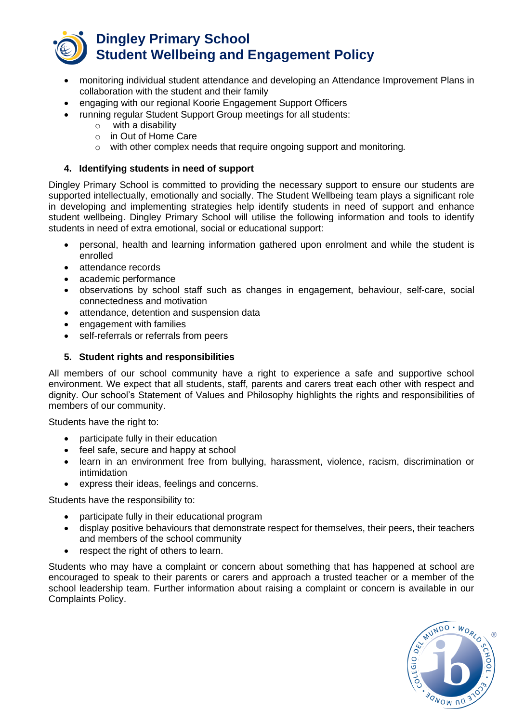

- monitoring individual student attendance and developing an Attendance Improvement Plans in collaboration with the student and their family
- engaging with our regional Koorie Engagement Support Officers
- running regular Student Support Group meetings for all students:
	- o with a disability
	- o in Out of Home Care
	- o with other complex needs that require ongoing support and monitoring*.*

### **4. Identifying students in need of support**

Dingley Primary School is committed to providing the necessary support to ensure our students are supported intellectually, emotionally and socially. The Student Wellbeing team plays a significant role in developing and implementing strategies help identify students in need of support and enhance student wellbeing. Dingley Primary School will utilise the following information and tools to identify students in need of extra emotional, social or educational support:

- personal, health and learning information gathered upon enrolment and while the student is enrolled
- attendance records
- academic performance
- observations by school staff such as changes in engagement, behaviour, self-care, social connectedness and motivation
- attendance, detention and suspension data
- engagement with families
- self-referrals or referrals from peers

#### **5. Student rights and responsibilities**

All members of our school community have a right to experience a safe and supportive school environment. We expect that all students, staff, parents and carers treat each other with respect and dignity. Our school's Statement of Values and Philosophy highlights the rights and responsibilities of members of our community.

Students have the right to:

- participate fully in their education
- feel safe, secure and happy at school
- learn in an environment free from bullying, harassment, violence, racism, discrimination or intimidation
- express their ideas, feelings and concerns.

Students have the responsibility to:

- participate fully in their educational program
- display positive behaviours that demonstrate respect for themselves, their peers, their teachers and members of the school community
- respect the right of others to learn.

Students who may have a complaint or concern about something that has happened at school are encouraged to speak to their parents or carers and approach a trusted teacher or a member of the school leadership team. Further information about raising a complaint or concern is available in our Complaints Policy.

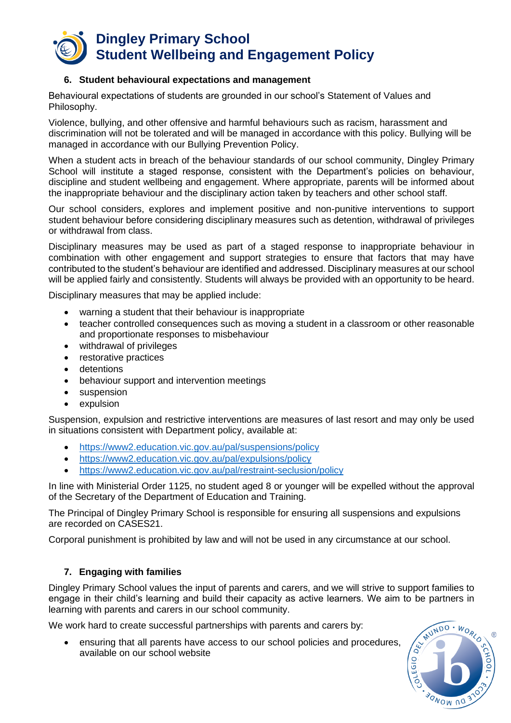

#### **6. Student behavioural expectations and management**

Behavioural expectations of students are grounded in our school's Statement of Values and Philosophy.

Violence, bullying, and other offensive and harmful behaviours such as racism, harassment and discrimination will not be tolerated and will be managed in accordance with this policy. Bullying will be managed in accordance with our Bullying Prevention Policy.

When a student acts in breach of the behaviour standards of our school community, Dingley Primary School will institute a staged response, consistent with the Department's policies on behaviour, discipline and student wellbeing and engagement. Where appropriate, parents will be informed about the inappropriate behaviour and the disciplinary action taken by teachers and other school staff.

Our school considers, explores and implement positive and non-punitive interventions to support student behaviour before considering disciplinary measures such as detention, withdrawal of privileges or withdrawal from class.

Disciplinary measures may be used as part of a staged response to inappropriate behaviour in combination with other engagement and support strategies to ensure that factors that may have contributed to the student's behaviour are identified and addressed. Disciplinary measures at our school will be applied fairly and consistently. Students will always be provided with an opportunity to be heard.

Disciplinary measures that may be applied include:

- warning a student that their behaviour is inappropriate
- teacher controlled consequences such as moving a student in a classroom or other reasonable and proportionate responses to misbehaviour
- withdrawal of privileges
- restorative practices
- detentions
- behaviour support and intervention meetings
- suspension
- expulsion

Suspension, expulsion and restrictive interventions are measures of last resort and may only be used in situations consistent with Department policy, available at:

- <https://www2.education.vic.gov.au/pal/suspensions/policy>
- <https://www2.education.vic.gov.au/pal/expulsions/policy>
- <https://www2.education.vic.gov.au/pal/restraint-seclusion/policy>

In line with Ministerial Order 1125, no student aged 8 or younger will be expelled without the approval of the Secretary of the Department of Education and Training.

The Principal of Dingley Primary School is responsible for ensuring all suspensions and expulsions are recorded on CASES21.

Corporal punishment is prohibited by law and will not be used in any circumstance at our school.

#### **7. Engaging with families**

Dingley Primary School values the input of parents and carers, and we will strive to support families to engage in their child's learning and build their capacity as active learners. We aim to be partners in learning with parents and carers in our school community.

We work hard to create successful partnerships with parents and carers by:

• ensuring that all parents have access to our school policies and procedures, available on our school website

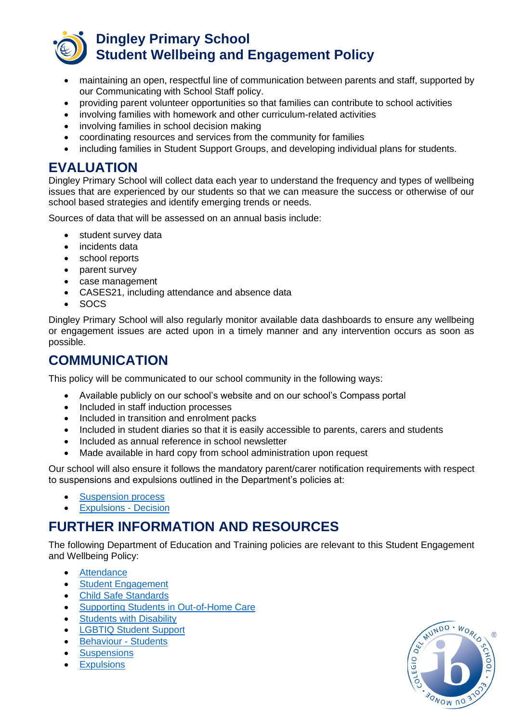

- maintaining an open, respectful line of communication between parents and staff, supported by our Communicating with School Staff policy.
- providing parent volunteer opportunities so that families can contribute to school activities
- involving families with homework and other curriculum-related activities
- involving families in school decision making
- coordinating resources and services from the community for families
- including families in Student Support Groups, and developing individual plans for students.

### **EVALUATION**

Dingley Primary School will collect data each year to understand the frequency and types of wellbeing issues that are experienced by our students so that we can measure the success or otherwise of our school based strategies and identify emerging trends or needs.

Sources of data that will be assessed on an annual basis include:

- student survey data
- incidents data
- school reports
- parent survey
- case management
- CASES21, including attendance and absence data
- SOCS

Dingley Primary School will also regularly monitor available data dashboards to ensure any wellbeing or engagement issues are acted upon in a timely manner and any intervention occurs as soon as possible.

# **COMMUNICATION**

This policy will be communicated to our school community in the following ways:

- Available publicly on our school's website and on our school's Compass portal
- Included in staff induction processes
- Included in transition and enrolment packs
- Included in student diaries so that it is easily accessible to parents, carers and students
- Included as annual reference in school newsletter
- Made available in hard copy from school administration upon request

Our school will also ensure it follows the mandatory parent/carer notification requirements with respect to suspensions and expulsions outlined in the Department's policies at:

- [Suspension process](https://www2.education.vic.gov.au/pal/suspensions/guidance/1-suspension-process)
- [Expulsions -](https://www2.education.vic.gov.au/pal/expulsions/guidance/decision) Decision

# **FURTHER INFORMATION AND RESOURCES**

The following Department of Education and Training policies are relevant to this Student Engagement and Wellbeing Policy:

- [Attendance](https://www2.education.vic.gov.au/pal/attendance/policy)
- [Student Engagement](https://www2.education.vic.gov.au/pal/student-engagement/policy)
- [Child Safe Standards](https://www2.education.vic.gov.au/pal/child-safe-standards/policy)
- [Supporting Students in Out-of-Home Care](https://www2.education.vic.gov.au/pal/supporting-students-out-home-care/policy)
- [Students with](https://www2.education.vic.gov.au/pal/students-disability/policy) Disability
- [LGBTIQ Student Support](https://www2.education.vic.gov.au/pal/lgbtiq-student-support/policy)
- [Behaviour -](https://www2.education.vic.gov.au/pal/behaviour-students/policy) Students
- **[Suspensions](https://www2.education.vic.gov.au/pal/suspensions/policy)**
- **[Expulsions](https://www2.education.vic.gov.au/pal/expulsions/policy)**